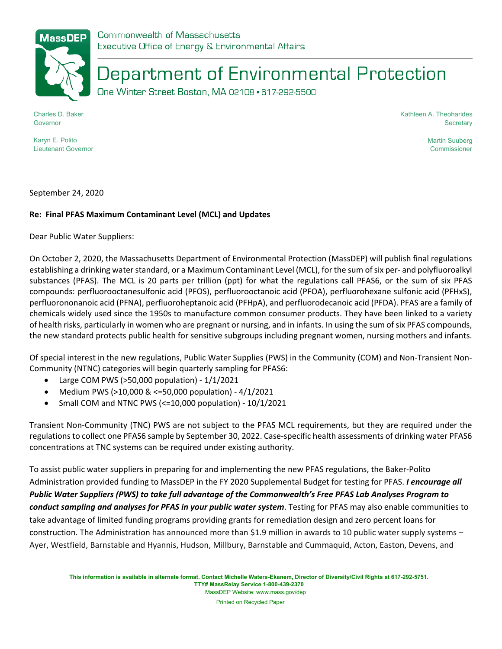

## Department of Environmental Protection

One Winter Street Boston, MA 02108 · 617-292-5500

Charles D. Baker Governor

Kathleen A. Theoharides **Secretary** 

Karyn E. Polito Lieutenant Governor Martin Suuberg Commissioner

September 24, 2020

## **Re: Final PFAS Maximum Contaminant Level (MCL) and Updates**

Dear Public Water Suppliers:

On October 2, 2020, the Massachusetts Department of Environmental Protection (MassDEP) will publish final regulations establishing a drinking water standard, or a Maximum Contaminant Level (MCL), for the sum of six per- and polyfluoroalkyl substances (PFAS). The MCL is 20 parts per trillion (ppt) for what the regulations call PFAS6, or the sum of six PFAS compounds: perfluorooctanesulfonic acid (PFOS), perfluorooctanoic acid (PFOA), perfluorohexane sulfonic acid (PFHxS), perfluorononanoic acid (PFNA), perfluoroheptanoic acid (PFHpA), and perfluorodecanoic acid (PFDA). PFAS are a family of chemicals widely used since the 1950s to manufacture common consumer products. They have been linked to a variety of health risks, particularly in women who are pregnant or nursing, and in infants. In using the sum of six PFAS compounds, the new standard protects public health for sensitive subgroups including pregnant women, nursing mothers and infants.

Of special interest in the new regulations, Public Water Supplies (PWS) in the Community (COM) and Non-Transient Non-Community (NTNC) categories will begin quarterly sampling for PFAS6:

- Large COM PWS (>50,000 population) 1/1/2021
- Medium PWS (>10,000 & <=50,000 population) 4/1/2021
- Small COM and NTNC PWS (<=10,000 population) 10/1/2021

Transient Non-Community (TNC) PWS are not subject to the PFAS MCL requirements, but they are required under the regulations to collect one PFAS6 sample by September 30, 2022. Case-specific health assessments of drinking water PFAS6 concentrations at TNC systems can be required under existing authority.

To assist public water suppliers in preparing for and implementing the new PFAS regulations, the Baker-Polito Administration provided funding to MassDEP in the FY 2020 Supplemental Budget for testing for PFAS. *I encourage all Public Water Suppliers (PWS) to take full advantage of the Commonwealth's Free PFAS Lab Analyses Program to conduct sampling and analyses for PFAS in your public water system*. Testing for PFAS may also enable communities to take advantage of limited funding programs providing grants for remediation design and zero percent loans for construction. The Administration has announced more than \$1.9 million in awards to 10 public water supply systems – Ayer, Westfield, Barnstable and Hyannis, Hudson, Millbury, Barnstable and Cummaquid, Acton, Easton, Devens, and